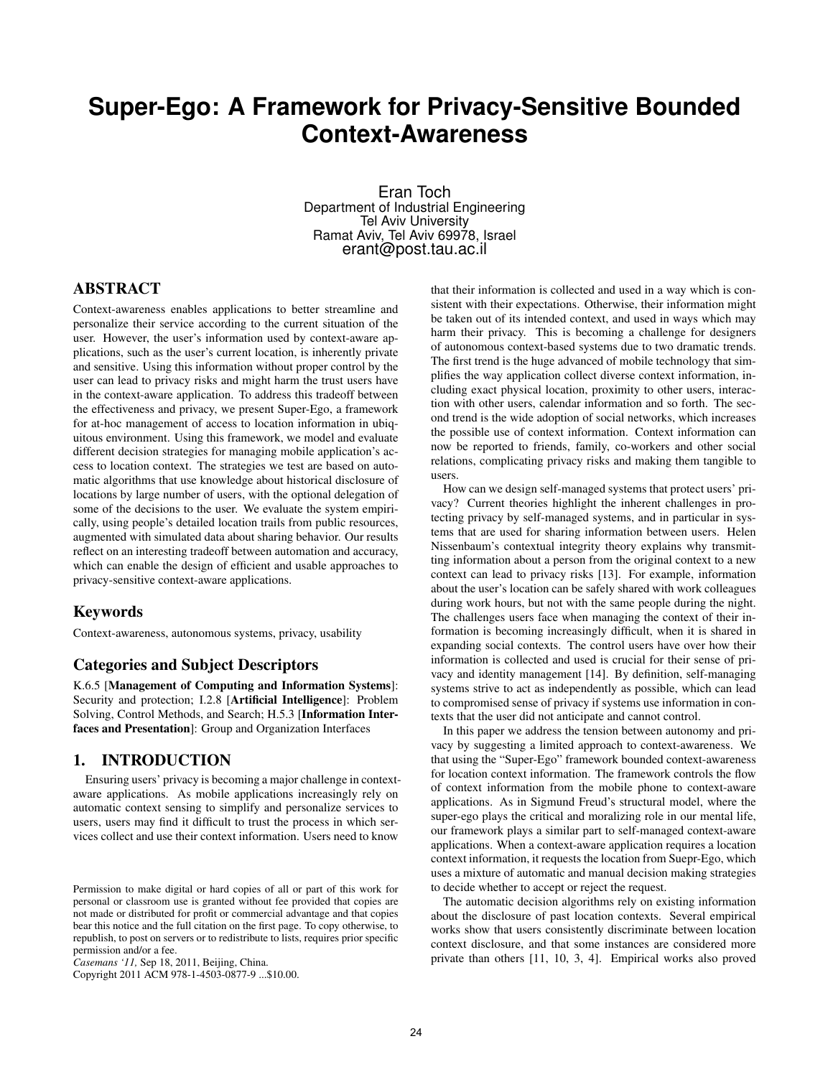# **Super-Ego: A Framework for Privacy-Sensitive Bounded Context-Awareness**

Eran Toch Department of Industrial Engineering Tel Aviv University Ramat Aviv, Tel Aviv 69978, Israel erant@post.tau.ac.il

# ABSTRACT

Context-awareness enables applications to better streamline and personalize their service according to the current situation of the user. However, the user's information used by context-aware applications, such as the user's current location, is inherently private and sensitive. Using this information without proper control by the user can lead to privacy risks and might harm the trust users have in the context-aware application. To address this tradeoff between the effectiveness and privacy, we present Super-Ego, a framework for at-hoc management of access to location information in ubiquitous environment. Using this framework, we model and evaluate different decision strategies for managing mobile application's access to location context. The strategies we test are based on automatic algorithms that use knowledge about historical disclosure of locations by large number of users, with the optional delegation of some of the decisions to the user. We evaluate the system empirically, using people's detailed location trails from public resources, augmented with simulated data about sharing behavior. Our results reflect on an interesting tradeoff between automation and accuracy, which can enable the design of efficient and usable approaches to privacy-sensitive context-aware applications.

# Keywords

Context-awareness, autonomous systems, privacy, usability

# Categories and Subject Descriptors

K.6.5 [Management of Computing and Information Systems]: Security and protection; I.2.8 [Artificial Intelligence]: Problem Solving, Control Methods, and Search; H.5.3 [Information Interfaces and Presentation]: Group and Organization Interfaces

## 1. INTRODUCTION

Ensuring users' privacy is becoming a major challenge in contextaware applications. As mobile applications increasingly rely on automatic context sensing to simplify and personalize services to users, users may find it difficult to trust the process in which services collect and use their context information. Users need to know

Copyright 2011 ACM 978-1-4503-0877-9 ...\$10.00.

that their information is collected and used in a way which is consistent with their expectations. Otherwise, their information might be taken out of its intended context, and used in ways which may harm their privacy. This is becoming a challenge for designers of autonomous context-based systems due to two dramatic trends. The first trend is the huge advanced of mobile technology that simplifies the way application collect diverse context information, including exact physical location, proximity to other users, interaction with other users, calendar information and so forth. The second trend is the wide adoption of social networks, which increases the possible use of context information. Context information can now be reported to friends, family, co-workers and other social relations, complicating privacy risks and making them tangible to users.

How can we design self-managed systems that protect users' privacy? Current theories highlight the inherent challenges in protecting privacy by self-managed systems, and in particular in systems that are used for sharing information between users. Helen Nissenbaum's contextual integrity theory explains why transmitting information about a person from the original context to a new context can lead to privacy risks [13]. For example, information about the user's location can be safely shared with work colleagues during work hours, but not with the same people during the night. The challenges users face when managing the context of their information is becoming increasingly difficult, when it is shared in expanding social contexts. The control users have over how their information is collected and used is crucial for their sense of privacy and identity management [14]. By definition, self-managing systems strive to act as independently as possible, which can lead to compromised sense of privacy if systems use information in contexts that the user did not anticipate and cannot control.

In this paper we address the tension between autonomy and privacy by suggesting a limited approach to context-awareness. We that using the "Super-Ego" framework bounded context-awareness for location context information. The framework controls the flow of context information from the mobile phone to context-aware applications. As in Sigmund Freud's structural model, where the super-ego plays the critical and moralizing role in our mental life, our framework plays a similar part to self-managed context-aware applications. When a context-aware application requires a location context information, it requests the location from Suepr-Ego, which uses a mixture of automatic and manual decision making strategies to decide whether to accept or reject the request.

The automatic decision algorithms rely on existing information about the disclosure of past location contexts. Several empirical works show that users consistently discriminate between location context disclosure, and that some instances are considered more private than others [11, 10, 3, 4]. Empirical works also proved

Permission to make digital or hard copies of all or part of this work for personal or classroom use is granted without fee provided that copies are not made or distributed for profit or commercial advantage and that copies bear this notice and the full citation on the first page. To copy otherwise, to republish, to post on servers or to redistribute to lists, requires prior specific permission and/or a fee.

*Casemans '11,* Sep 18, 2011, Beijing, China.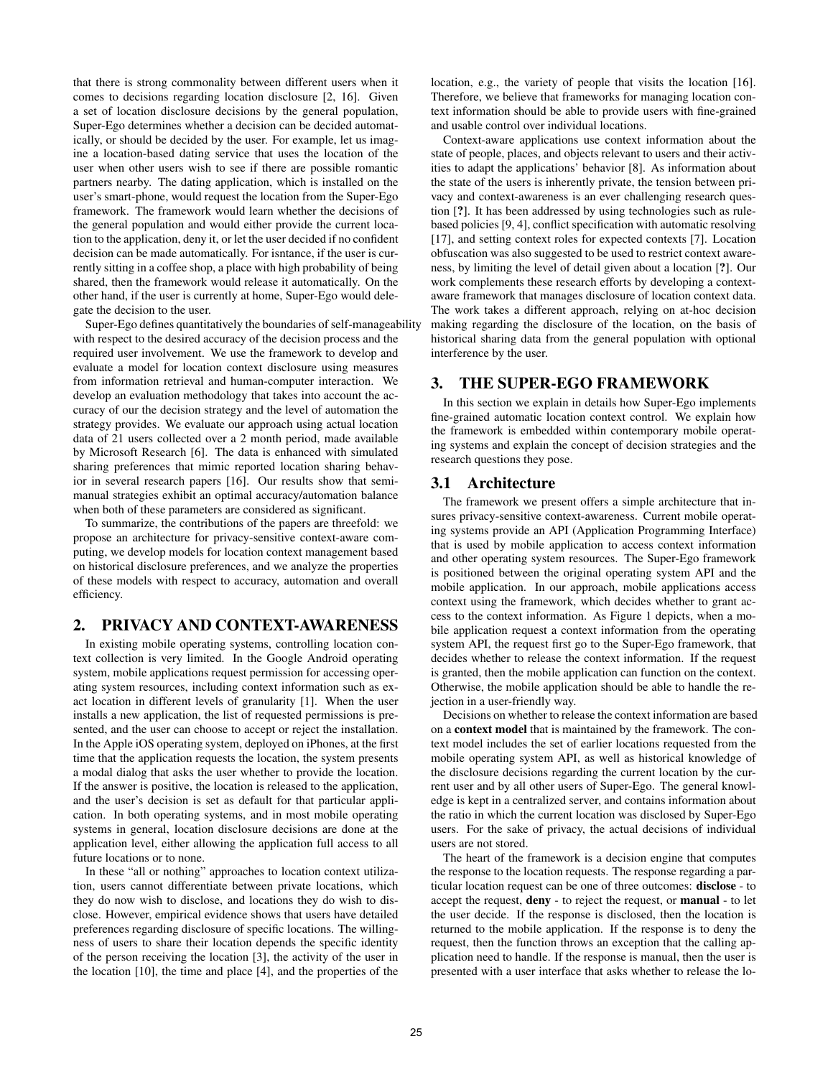that there is strong commonality between different users when it comes to decisions regarding location disclosure [2, 16]. Given a set of location disclosure decisions by the general population, Super-Ego determines whether a decision can be decided automatically, or should be decided by the user. For example, let us imagine a location-based dating service that uses the location of the user when other users wish to see if there are possible romantic partners nearby. The dating application, which is installed on the user's smart-phone, would request the location from the Super-Ego framework. The framework would learn whether the decisions of the general population and would either provide the current location to the application, deny it, or let the user decided if no confident decision can be made automatically. For isntance, if the user is currently sitting in a coffee shop, a place with high probability of being shared, then the framework would release it automatically. On the other hand, if the user is currently at home, Super-Ego would delegate the decision to the user.

Super-Ego defines quantitatively the boundaries of self-manageability with respect to the desired accuracy of the decision process and the required user involvement. We use the framework to develop and evaluate a model for location context disclosure using measures from information retrieval and human-computer interaction. We develop an evaluation methodology that takes into account the accuracy of our the decision strategy and the level of automation the strategy provides. We evaluate our approach using actual location data of 21 users collected over a 2 month period, made available by Microsoft Research [6]. The data is enhanced with simulated sharing preferences that mimic reported location sharing behavior in several research papers [16]. Our results show that semimanual strategies exhibit an optimal accuracy/automation balance when both of these parameters are considered as significant.

To summarize, the contributions of the papers are threefold: we propose an architecture for privacy-sensitive context-aware computing, we develop models for location context management based on historical disclosure preferences, and we analyze the properties of these models with respect to accuracy, automation and overall efficiency.

# 2. PRIVACY AND CONTEXT-AWARENESS

In existing mobile operating systems, controlling location context collection is very limited. In the Google Android operating system, mobile applications request permission for accessing operating system resources, including context information such as exact location in different levels of granularity [1]. When the user installs a new application, the list of requested permissions is presented, and the user can choose to accept or reject the installation. In the Apple iOS operating system, deployed on iPhones, at the first time that the application requests the location, the system presents a modal dialog that asks the user whether to provide the location. If the answer is positive, the location is released to the application, and the user's decision is set as default for that particular application. In both operating systems, and in most mobile operating systems in general, location disclosure decisions are done at the application level, either allowing the application full access to all future locations or to none.

In these "all or nothing" approaches to location context utilization, users cannot differentiate between private locations, which they do now wish to disclose, and locations they do wish to disclose. However, empirical evidence shows that users have detailed preferences regarding disclosure of specific locations. The willingness of users to share their location depends the specific identity of the person receiving the location [3], the activity of the user in the location [10], the time and place [4], and the properties of the

location, e.g., the variety of people that visits the location [16]. Therefore, we believe that frameworks for managing location context information should be able to provide users with fine-grained and usable control over individual locations.

Context-aware applications use context information about the state of people, places, and objects relevant to users and their activities to adapt the applications' behavior [8]. As information about the state of the users is inherently private, the tension between privacy and context-awareness is an ever challenging research question [?]. It has been addressed by using technologies such as rulebased policies [9, 4], conflict specification with automatic resolving [17], and setting context roles for expected contexts [7]. Location obfuscation was also suggested to be used to restrict context awareness, by limiting the level of detail given about a location [?]. Our work complements these research efforts by developing a contextaware framework that manages disclosure of location context data. The work takes a different approach, relying on at-hoc decision making regarding the disclosure of the location, on the basis of historical sharing data from the general population with optional interference by the user.

# 3. THE SUPER-EGO FRAMEWORK

In this section we explain in details how Super-Ego implements fine-grained automatic location context control. We explain how the framework is embedded within contemporary mobile operating systems and explain the concept of decision strategies and the research questions they pose.

## 3.1 Architecture

The framework we present offers a simple architecture that insures privacy-sensitive context-awareness. Current mobile operating systems provide an API (Application Programming Interface) that is used by mobile application to access context information and other operating system resources. The Super-Ego framework is positioned between the original operating system API and the mobile application. In our approach, mobile applications access context using the framework, which decides whether to grant access to the context information. As Figure 1 depicts, when a mobile application request a context information from the operating system API, the request first go to the Super-Ego framework, that decides whether to release the context information. If the request is granted, then the mobile application can function on the context. Otherwise, the mobile application should be able to handle the rejection in a user-friendly way.

Decisions on whether to release the context information are based on a context model that is maintained by the framework. The context model includes the set of earlier locations requested from the mobile operating system API, as well as historical knowledge of the disclosure decisions regarding the current location by the current user and by all other users of Super-Ego. The general knowledge is kept in a centralized server, and contains information about the ratio in which the current location was disclosed by Super-Ego users. For the sake of privacy, the actual decisions of individual users are not stored.

The heart of the framework is a decision engine that computes the response to the location requests. The response regarding a particular location request can be one of three outcomes: disclose - to accept the request, deny - to reject the request, or manual - to let the user decide. If the response is disclosed, then the location is returned to the mobile application. If the response is to deny the request, then the function throws an exception that the calling application need to handle. If the response is manual, then the user is presented with a user interface that asks whether to release the lo-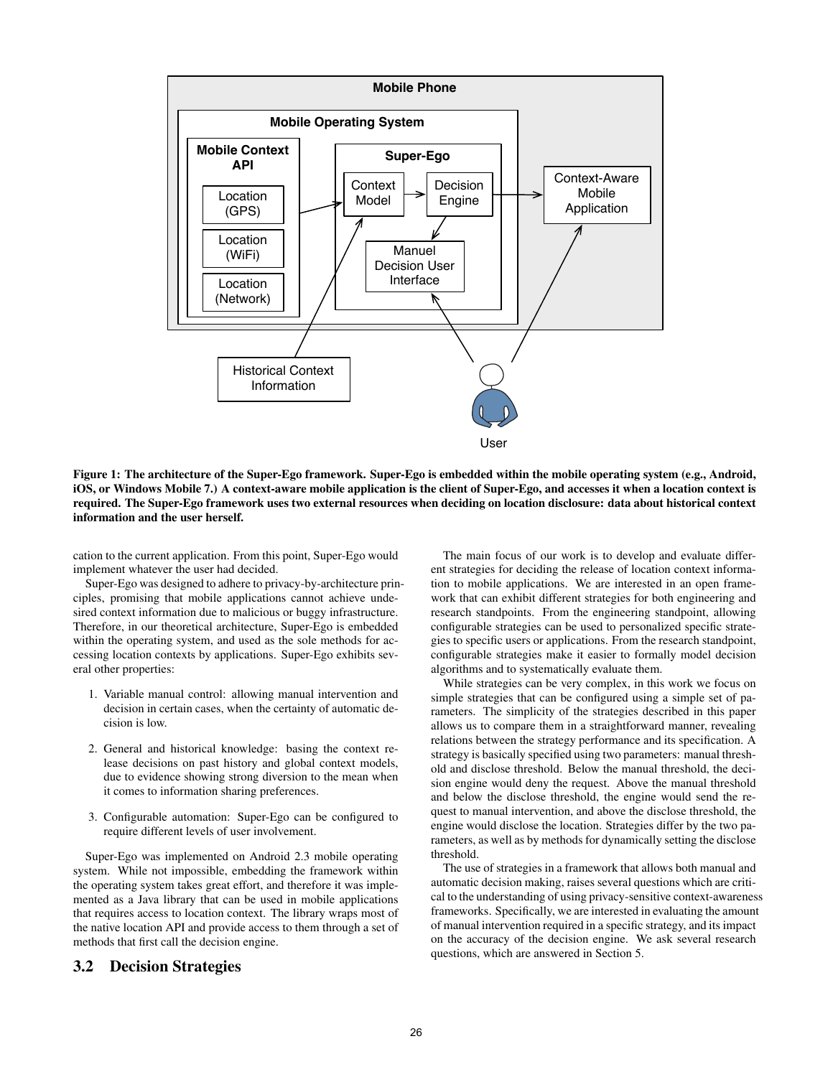

Figure 1: The architecture of the Super-Ego framework. Super-Ego is embedded within the mobile operating system (e.g., Android, iOS, or Windows Mobile 7.) A context-aware mobile application is the client of Super-Ego, and accesses it when a location context is required. The Super-Ego framework uses two external resources when deciding on location disclosure: data about historical context information and the user herself.

cation to the current application. From this point, Super-Ego would implement whatever the user had decided.

Super-Ego was designed to adhere to privacy-by-architecture principles, promising that mobile applications cannot achieve undesired context information due to malicious or buggy infrastructure. Therefore, in our theoretical architecture, Super-Ego is embedded within the operating system, and used as the sole methods for accessing location contexts by applications. Super-Ego exhibits several other properties:

- 1. Variable manual control: allowing manual intervention and decision in certain cases, when the certainty of automatic decision is low.
- 2. General and historical knowledge: basing the context release decisions on past history and global context models, due to evidence showing strong diversion to the mean when it comes to information sharing preferences.
- 3. Configurable automation: Super-Ego can be configured to require different levels of user involvement.

Super-Ego was implemented on Android 2.3 mobile operating system. While not impossible, embedding the framework within the operating system takes great effort, and therefore it was implemented as a Java library that can be used in mobile applications that requires access to location context. The library wraps most of the native location API and provide access to them through a set of methods that first call the decision engine.

## 3.2 Decision Strategies

The main focus of our work is to develop and evaluate different strategies for deciding the release of location context information to mobile applications. We are interested in an open framework that can exhibit different strategies for both engineering and research standpoints. From the engineering standpoint, allowing configurable strategies can be used to personalized specific strategies to specific users or applications. From the research standpoint, configurable strategies make it easier to formally model decision algorithms and to systematically evaluate them.

While strategies can be very complex, in this work we focus on simple strategies that can be configured using a simple set of parameters. The simplicity of the strategies described in this paper allows us to compare them in a straightforward manner, revealing relations between the strategy performance and its specification. A strategy is basically specified using two parameters: manual threshold and disclose threshold. Below the manual threshold, the decision engine would deny the request. Above the manual threshold and below the disclose threshold, the engine would send the request to manual intervention, and above the disclose threshold, the engine would disclose the location. Strategies differ by the two parameters, as well as by methods for dynamically setting the disclose threshold.

The use of strategies in a framework that allows both manual and automatic decision making, raises several questions which are critical to the understanding of using privacy-sensitive context-awareness frameworks. Specifically, we are interested in evaluating the amount of manual intervention required in a specific strategy, and its impact on the accuracy of the decision engine. We ask several research questions, which are answered in Section 5.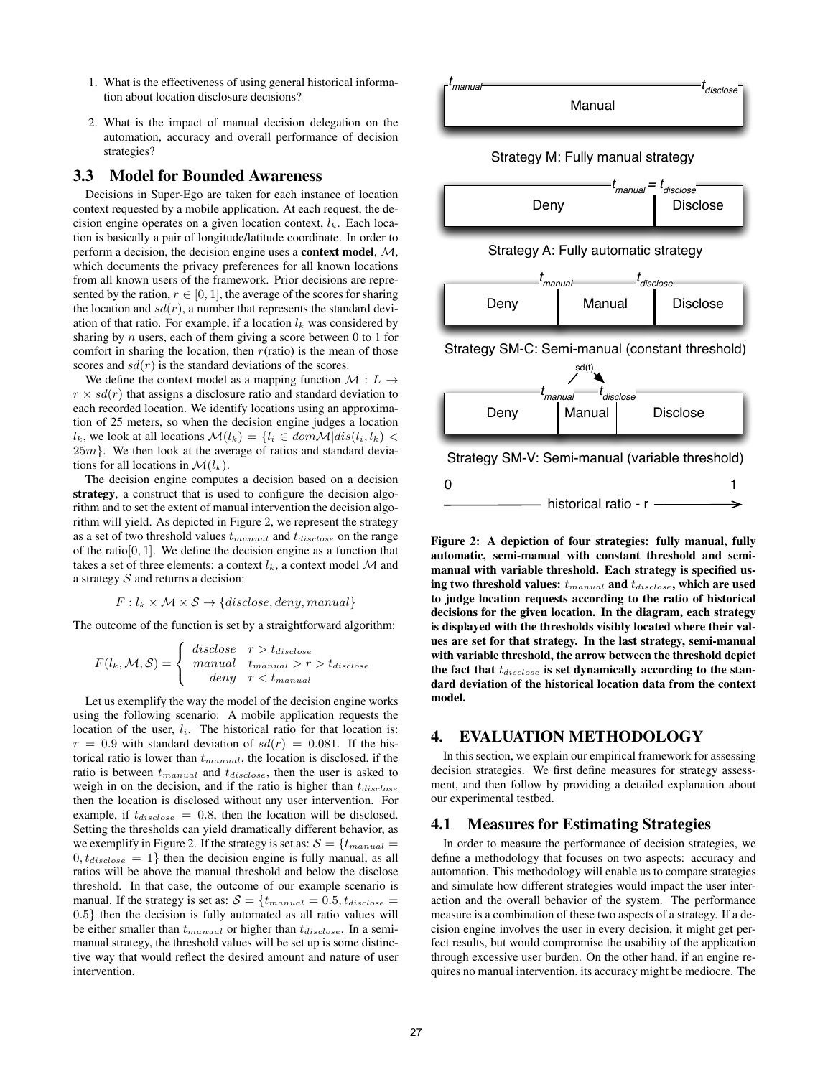- 1. What is the effectiveness of using general historical information about location disclosure decisions?
- 2. What is the impact of manual decision delegation on the automation, accuracy and overall performance of decision strategies?

#### 3.3 Model for Bounded Awareness

Decisions in Super-Ego are taken for each instance of location context requested by a mobile application. At each request, the decision engine operates on a given location context,  $l_k$ . Each location is basically a pair of longitude/latitude coordinate. In order to perform a decision, the decision engine uses a context model, M, which documents the privacy preferences for all known locations from all known users of the framework. Prior decisions are represented by the ration,  $r \in [0, 1]$ , the average of the scores for sharing the location and  $sd(r)$ , a number that represents the standard deviation of that ratio. For example, if a location  $l_k$  was considered by sharing by  $n$  users, each of them giving a score between 0 to 1 for comfort in sharing the location, then  $r$ (ratio) is the mean of those scores and  $sd(r)$  is the standard deviations of the scores.

We define the context model as a mapping function  $\mathcal{M}: L \to$  $r \times sd(r)$  that assigns a disclosure ratio and standard deviation to each recorded location. We identify locations using an approximation of 25 meters, so when the decision engine judges a location  $l_k$ , we look at all locations  $\mathcal{M}(l_k) = \{l_i \in dom\mathcal{M}|dis(l_i, l_k)$  $25m$ . We then look at the average of ratios and standard deviations for all locations in  $\mathcal{M}(l_k)$ .

The decision engine computes a decision based on a decision strategy, a construct that is used to configure the decision algorithm and to set the extent of manual intervention the decision algorithm will yield. As depicted in Figure 2, we represent the strategy as a set of two threshold values  $t_{manual}$  and  $t_{disclose}$  on the range of the ratio $[0, 1]$ . We define the decision engine as a function that takes a set of three elements: a context  $l_k$ , a context model  $M$  and a strategy  $S$  and returns a decision:

 $F: l_k \times \mathcal{M} \times \mathcal{S} \rightarrow \{disclose, deny, manual\}$ 

The outcome of the function is set by a straightforward algorithm:

$$
F(l_k, \mathcal{M}, \mathcal{S}) = \begin{cases} \text{disclose} & r > t_{\text{disclose}} \\ \text{manual} & t_{\text{manual}} > r > t_{\text{disclose}} \\ \text{deny} & r < t_{\text{manual}} \end{cases}
$$

Let us exemplify the way the model of the decision engine works using the following scenario. A mobile application requests the location of the user,  $l_i$ . The historical ratio for that location is:  $r = 0.9$  with standard deviation of  $sd(r) = 0.081$ . If the historical ratio is lower than  $t_{manual}$ , the location is disclosed, if the ratio is between  $t_{manual}$  and  $t_{disclose}$ , then the user is asked to weigh in on the decision, and if the ratio is higher than  $t_{disclose}$ then the location is disclosed without any user intervention. For example, if  $t_{disclose} = 0.8$ , then the location will be disclosed. Setting the thresholds can yield dramatically different behavior, as we exemplify in Figure 2. If the strategy is set as:  $S = \{t_{manual} =$  $0, t_{disclose} = 1$  then the decision engine is fully manual, as all ratios will be above the manual threshold and below the disclose threshold. In that case, the outcome of our example scenario is manual. If the strategy is set as:  $S = \{t_{manual} = 0.5, t_{disclose} =$ 0.5} then the decision is fully automated as all ratio values will be either smaller than  $t_{manual}$  or higher than  $t_{disclose}$ . In a semimanual strategy, the threshold values will be set up is some distinctive way that would reflect the desired amount and nature of user intervention.



Figure 2: A depiction of four strategies: fully manual, fully automatic, semi-manual with constant threshold and semimanual with variable threshold. Each strategy is specified using two threshold values:  $t_{manual}$  and  $t_{disclose}$ , which are used to judge location requests according to the ratio of historical decisions for the given location. In the diagram, each strategy is displayed with the thresholds visibly located where their values are set for that strategy. In the last strategy, semi-manual with variable threshold, the arrow between the threshold depict the fact that  $t_{disclose}$  is set dynamically according to the standard deviation of the historical location data from the context model.

## 4. EVALUATION METHODOLOGY

In this section, we explain our empirical framework for assessing decision strategies. We first define measures for strategy assessment, and then follow by providing a detailed explanation about our experimental testbed.

#### 4.1 Measures for Estimating Strategies

In order to measure the performance of decision strategies, we define a methodology that focuses on two aspects: accuracy and automation. This methodology will enable us to compare strategies and simulate how different strategies would impact the user interaction and the overall behavior of the system. The performance measure is a combination of these two aspects of a strategy. If a decision engine involves the user in every decision, it might get perfect results, but would compromise the usability of the application through excessive user burden. On the other hand, if an engine requires no manual intervention, its accuracy might be mediocre. The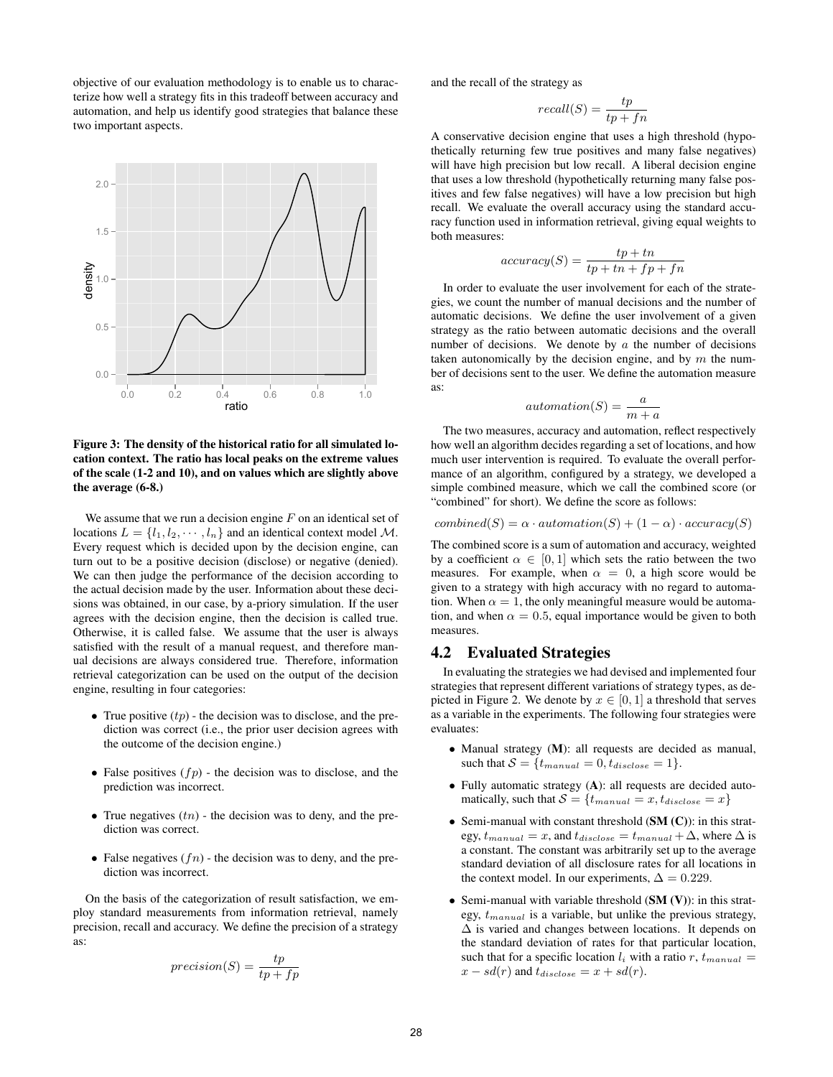objective of our evaluation methodology is to enable us to characterize how well a strategy fits in this tradeoff between accuracy and automation, and help us identify good strategies that balance these two important aspects.



Figure 3: The density of the historical ratio for all simulated location context. The ratio has local peaks on the extreme values of the scale (1-2 and 10), and on values which are slightly above the average (6-8.)

We assume that we run a decision engine  $F$  on an identical set of locations  $L = \{l_1, l_2, \dots, l_n\}$  and an identical context model M. Every request which is decided upon by the decision engine, can turn out to be a positive decision (disclose) or negative (denied). We can then judge the performance of the decision according to the actual decision made by the user. Information about these decisions was obtained, in our case, by a-priory simulation. If the user agrees with the decision engine, then the decision is called true. Otherwise, it is called false. We assume that the user is always satisfied with the result of a manual request, and therefore manual decisions are always considered true. Therefore, information retrieval categorization can be used on the output of the decision engine, resulting in four categories:

- True positive  $(tp)$  the decision was to disclose, and the prediction was correct (i.e., the prior user decision agrees with the outcome of the decision engine.)
- False positives  $(f_p)$  the decision was to disclose, and the prediction was incorrect.
- True negatives  $(tn)$  the decision was to deny, and the prediction was correct.
- False negatives  $f(n)$  the decision was to deny, and the prediction was incorrect.

On the basis of the categorization of result satisfaction, we employ standard measurements from information retrieval, namely precision, recall and accuracy. We define the precision of a strategy as:

$$
precision(S) = \frac{tp}{tp + fp}
$$

and the recall of the strategy as

$$
recall(S) = \frac{tp}{tp+fn}
$$

A conservative decision engine that uses a high threshold (hypothetically returning few true positives and many false negatives) will have high precision but low recall. A liberal decision engine that uses a low threshold (hypothetically returning many false positives and few false negatives) will have a low precision but high recall. We evaluate the overall accuracy using the standard accuracy function used in information retrieval, giving equal weights to both measures:

$$
accuracy(S) = \frac{tp + tn}{tp + tn + fp + fn}
$$

In order to evaluate the user involvement for each of the strategies, we count the number of manual decisions and the number of automatic decisions. We define the user involvement of a given strategy as the ratio between automatic decisions and the overall number of decisions. We denote by  $a$  the number of decisions taken autonomically by the decision engine, and by  $m$  the number of decisions sent to the user. We define the automation measure as:

$$
automation(S) = \frac{a}{m+a}
$$

The two measures, accuracy and automation, reflect respectively how well an algorithm decides regarding a set of locations, and how much user intervention is required. To evaluate the overall performance of an algorithm, configured by a strategy, we developed a simple combined measure, which we call the combined score (or "combined" for short). We define the score as follows:

$$
combined(S) = \alpha \cdot automation(S) + (1 - \alpha) \cdot accuracy(S)
$$

The combined score is a sum of automation and accuracy, weighted by a coefficient  $\alpha \in [0, 1]$  which sets the ratio between the two measures. For example, when  $\alpha = 0$ , a high score would be given to a strategy with high accuracy with no regard to automation. When  $\alpha = 1$ , the only meaningful measure would be automation, and when  $\alpha = 0.5$ , equal importance would be given to both measures.

#### 4.2 Evaluated Strategies

In evaluating the strategies we had devised and implemented four strategies that represent different variations of strategy types, as depicted in Figure 2. We denote by  $x \in [0, 1]$  a threshold that serves as a variable in the experiments. The following four strategies were evaluates:

- Manual strategy (M): all requests are decided as manual, such that  $S = \{t_{manual} = 0, t_{disclose} = 1\}.$
- Fully automatic strategy (A): all requests are decided automatically, such that  $S = \{t_{manual} = x, t_{disclose} = x\}$
- Semi-manual with constant threshold (SM (C)): in this strategy,  $t_{manual} = x$ , and  $t_{disclose} = t_{manual} + \Delta$ , where  $\Delta$  is a constant. The constant was arbitrarily set up to the average standard deviation of all disclosure rates for all locations in the context model. In our experiments,  $\Delta = 0.229$ .
- Semi-manual with variable threshold (SM (V)): in this strategy,  $t_{manual}$  is a variable, but unlike the previous strategy,  $\Delta$  is varied and changes between locations. It depends on the standard deviation of rates for that particular location, such that for a specific location  $l_i$  with a ratio  $r$ ,  $t_{manual}$  =  $x - sd(r)$  and  $t_{disclose} = x + sd(r)$ .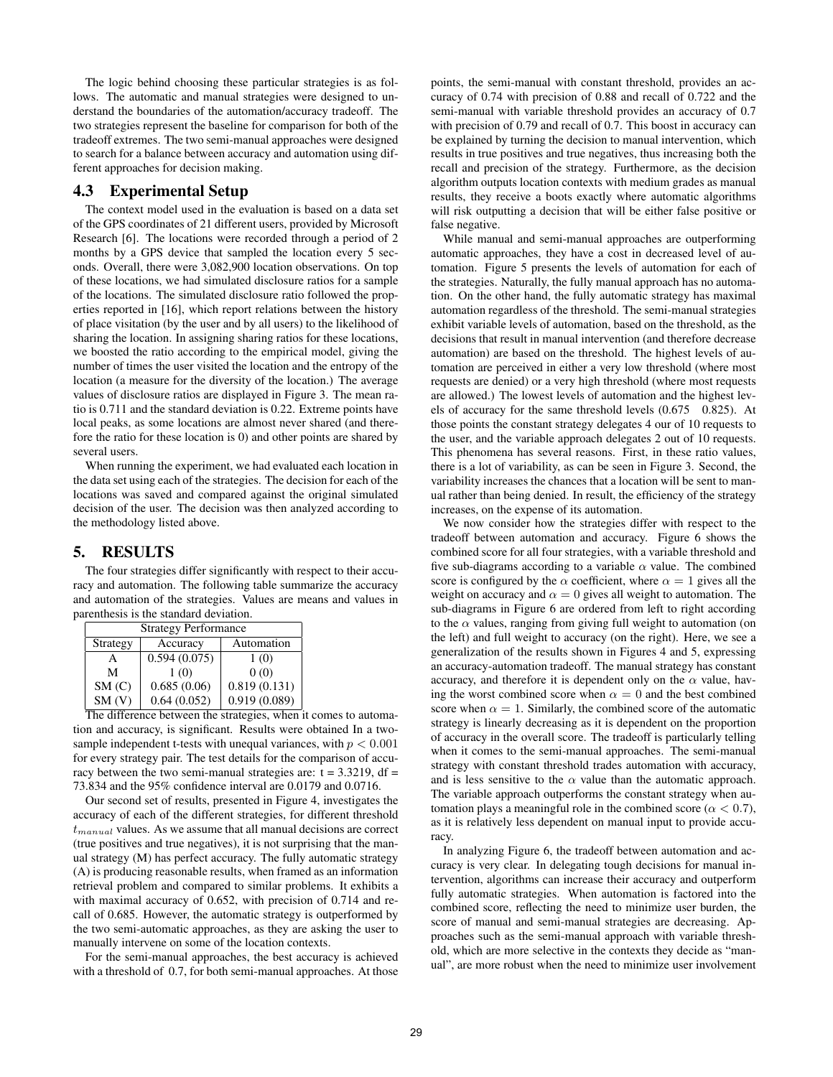The logic behind choosing these particular strategies is as follows. The automatic and manual strategies were designed to understand the boundaries of the automation/accuracy tradeoff. The two strategies represent the baseline for comparison for both of the tradeoff extremes. The two semi-manual approaches were designed to search for a balance between accuracy and automation using different approaches for decision making.

## 4.3 Experimental Setup

The context model used in the evaluation is based on a data set of the GPS coordinates of 21 different users, provided by Microsoft Research [6]. The locations were recorded through a period of 2 months by a GPS device that sampled the location every 5 seconds. Overall, there were 3,082,900 location observations. On top of these locations, we had simulated disclosure ratios for a sample of the locations. The simulated disclosure ratio followed the properties reported in [16], which report relations between the history of place visitation (by the user and by all users) to the likelihood of sharing the location. In assigning sharing ratios for these locations, we boosted the ratio according to the empirical model, giving the number of times the user visited the location and the entropy of the location (a measure for the diversity of the location.) The average values of disclosure ratios are displayed in Figure 3. The mean ratio is 0.711 and the standard deviation is 0.22. Extreme points have local peaks, as some locations are almost never shared (and therefore the ratio for these location is 0) and other points are shared by several users.

When running the experiment, we had evaluated each location in the data set using each of the strategies. The decision for each of the locations was saved and compared against the original simulated decision of the user. The decision was then analyzed according to the methodology listed above.

## 5. RESULTS

The four strategies differ significantly with respect to their accuracy and automation. The following table summarize the accuracy and automation of the strategies. Values are means and values in parenthesis is the standard deviation.

| <b>Strategy Performance</b> |              |              |
|-----------------------------|--------------|--------------|
| Strategy                    | Accuracy     | Automation   |
| А                           | 0.594(0.075) | 1(0)         |
| М                           | 1(0)         | 0(0)         |
| SM(C)                       | 0.685(0.06)  | 0.819(0.131) |
| SM(V)                       | 0.64(0.052)  | 0.919(0.089) |

The difference between the strategies, when it comes to automation and accuracy, is significant. Results were obtained In a twosample independent t-tests with unequal variances, with  $p < 0.001$ for every strategy pair. The test details for the comparison of accuracy between the two semi-manual strategies are:  $t = 3.3219$ , df = 73.834 and the 95% confidence interval are 0.0179 and 0.0716.

Our second set of results, presented in Figure 4, investigates the accuracy of each of the different strategies, for different threshold  $t_{manual}$  values. As we assume that all manual decisions are correct (true positives and true negatives), it is not surprising that the manual strategy (M) has perfect accuracy. The fully automatic strategy (A) is producing reasonable results, when framed as an information retrieval problem and compared to similar problems. It exhibits a with maximal accuracy of 0.652, with precision of 0.714 and recall of 0.685. However, the automatic strategy is outperformed by the two semi-automatic approaches, as they are asking the user to manually intervene on some of the location contexts.

For the semi-manual approaches, the best accuracy is achieved with a threshold of 0.7, for both semi-manual approaches. At those

points, the semi-manual with constant threshold, provides an accuracy of 0.74 with precision of 0.88 and recall of 0.722 and the semi-manual with variable threshold provides an accuracy of 0.7 with precision of 0.79 and recall of 0.7. This boost in accuracy can be explained by turning the decision to manual intervention, which results in true positives and true negatives, thus increasing both the recall and precision of the strategy. Furthermore, as the decision algorithm outputs location contexts with medium grades as manual results, they receive a boots exactly where automatic algorithms will risk outputting a decision that will be either false positive or false negative.

While manual and semi-manual approaches are outperforming automatic approaches, they have a cost in decreased level of automation. Figure 5 presents the levels of automation for each of the strategies. Naturally, the fully manual approach has no automation. On the other hand, the fully automatic strategy has maximal automation regardless of the threshold. The semi-manual strategies exhibit variable levels of automation, based on the threshold, as the decisions that result in manual intervention (and therefore decrease automation) are based on the threshold. The highest levels of automation are perceived in either a very low threshold (where most requests are denied) or a very high threshold (where most requests are allowed.) The lowest levels of automation and the highest levels of accuracy for the same threshold levels (0.675 0.825). At those points the constant strategy delegates 4 our of 10 requests to the user, and the variable approach delegates 2 out of 10 requests. This phenomena has several reasons. First, in these ratio values, there is a lot of variability, as can be seen in Figure 3. Second, the variability increases the chances that a location will be sent to manual rather than being denied. In result, the efficiency of the strategy increases, on the expense of its automation.

We now consider how the strategies differ with respect to the tradeoff between automation and accuracy. Figure 6 shows the combined score for all four strategies, with a variable threshold and five sub-diagrams according to a variable  $\alpha$  value. The combined score is configured by the  $\alpha$  coefficient, where  $\alpha = 1$  gives all the weight on accuracy and  $\alpha = 0$  gives all weight to automation. The sub-diagrams in Figure 6 are ordered from left to right according to the  $\alpha$  values, ranging from giving full weight to automation (on the left) and full weight to accuracy (on the right). Here, we see a generalization of the results shown in Figures 4 and 5, expressing an accuracy-automation tradeoff. The manual strategy has constant accuracy, and therefore it is dependent only on the  $\alpha$  value, having the worst combined score when  $\alpha = 0$  and the best combined score when  $\alpha = 1$ . Similarly, the combined score of the automatic strategy is linearly decreasing as it is dependent on the proportion of accuracy in the overall score. The tradeoff is particularly telling when it comes to the semi-manual approaches. The semi-manual strategy with constant threshold trades automation with accuracy, and is less sensitive to the  $\alpha$  value than the automatic approach. The variable approach outperforms the constant strategy when automation plays a meaningful role in the combined score ( $\alpha$  < 0.7), as it is relatively less dependent on manual input to provide accuracy.

In analyzing Figure 6, the tradeoff between automation and accuracy is very clear. In delegating tough decisions for manual intervention, algorithms can increase their accuracy and outperform fully automatic strategies. When automation is factored into the combined score, reflecting the need to minimize user burden, the score of manual and semi-manual strategies are decreasing. Approaches such as the semi-manual approach with variable threshold, which are more selective in the contexts they decide as "manual", are more robust when the need to minimize user involvement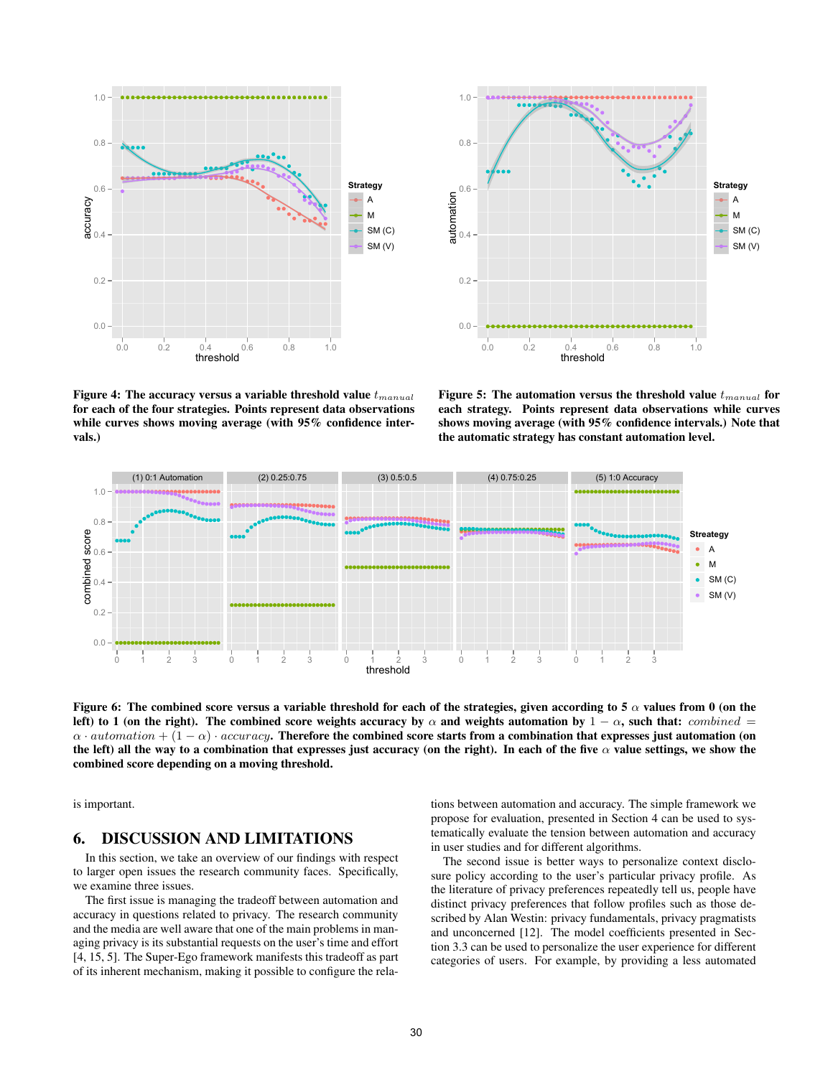



Figure 4: The accuracy versus a variable threshold value  $t_{manual}$ for each of the four strategies. Points represent data observations while curves shows moving average (with 95% confidence intervals.)

Figure 5: The automation versus the threshold value  $t_{manual}$  for each strategy. Points represent data observations while curves shows moving average (with 95% confidence intervals.) Note that the automatic strategy has constant automation level.



Figure 6: The combined score versus a variable threshold for each of the strategies, given according to 5  $\alpha$  values from 0 (on the left) to 1 (on the right). The combined score weights accuracy by  $\alpha$  and weights automation by  $1 - \alpha$ , such that: *combined* =  $\alpha \cdot$  automation +  $(1 - \alpha) \cdot$  accuracy. Therefore the combined score starts from a combination that expresses just automation (on the left) all the way to a combination that expresses just accuracy (on the right). In each of the five  $\alpha$  value settings, we show the combined score depending on a moving threshold.

is important.

# 6. DISCUSSION AND LIMITATIONS

In this section, we take an overview of our findings with respect to larger open issues the research community faces. Specifically, we examine three issues.

The first issue is managing the tradeoff between automation and accuracy in questions related to privacy. The research community and the media are well aware that one of the main problems in managing privacy is its substantial requests on the user's time and effort [4, 15, 5]. The Super-Ego framework manifests this tradeoff as part of its inherent mechanism, making it possible to configure the relations between automation and accuracy. The simple framework we propose for evaluation, presented in Section 4 can be used to systematically evaluate the tension between automation and accuracy in user studies and for different algorithms.

The second issue is better ways to personalize context disclosure policy according to the user's particular privacy profile. As the literature of privacy preferences repeatedly tell us, people have distinct privacy preferences that follow profiles such as those described by Alan Westin: privacy fundamentals, privacy pragmatists and unconcerned [12]. The model coefficients presented in Section 3.3 can be used to personalize the user experience for different categories of users. For example, by providing a less automated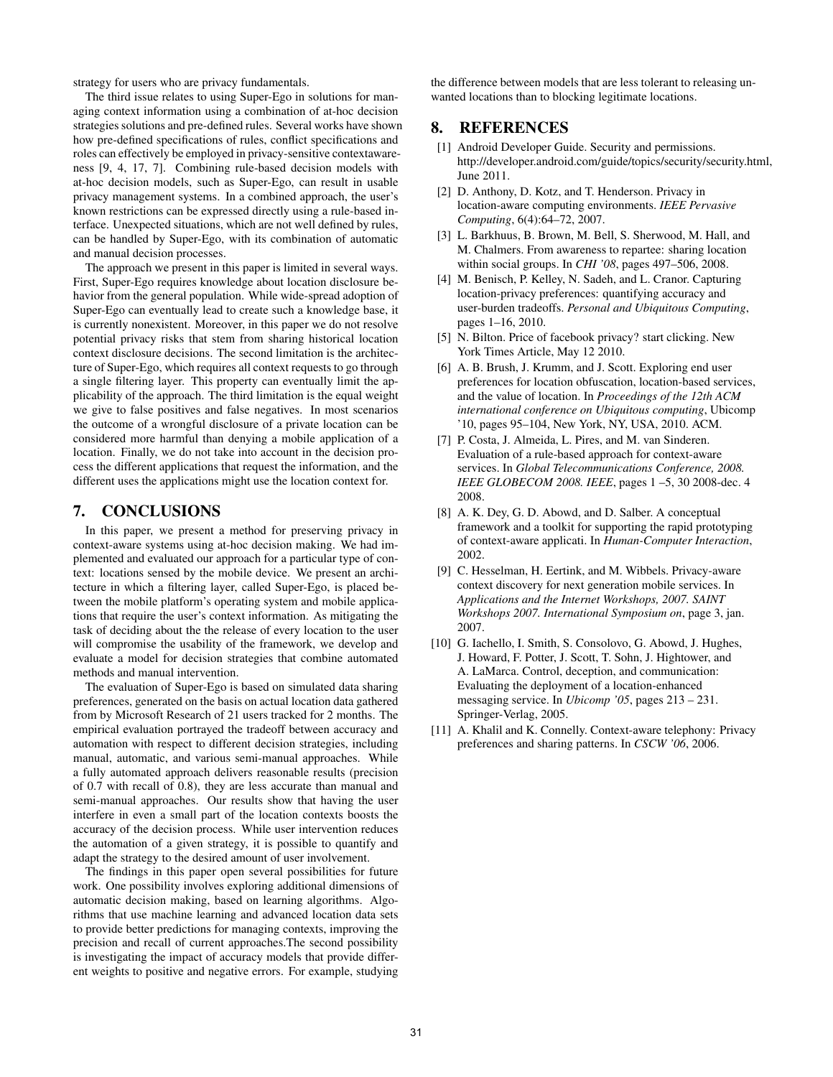strategy for users who are privacy fundamentals.

The third issue relates to using Super-Ego in solutions for managing context information using a combination of at-hoc decision strategies solutions and pre-defined rules. Several works have shown how pre-defined specifications of rules, conflict specifications and roles can effectively be employed in privacy-sensitive contextawareness [9, 4, 17, 7]. Combining rule-based decision models with at-hoc decision models, such as Super-Ego, can result in usable privacy management systems. In a combined approach, the user's known restrictions can be expressed directly using a rule-based interface. Unexpected situations, which are not well defined by rules, can be handled by Super-Ego, with its combination of automatic and manual decision processes.

The approach we present in this paper is limited in several ways. First, Super-Ego requires knowledge about location disclosure behavior from the general population. While wide-spread adoption of Super-Ego can eventually lead to create such a knowledge base, it is currently nonexistent. Moreover, in this paper we do not resolve potential privacy risks that stem from sharing historical location context disclosure decisions. The second limitation is the architecture of Super-Ego, which requires all context requests to go through a single filtering layer. This property can eventually limit the applicability of the approach. The third limitation is the equal weight we give to false positives and false negatives. In most scenarios the outcome of a wrongful disclosure of a private location can be considered more harmful than denying a mobile application of a location. Finally, we do not take into account in the decision process the different applications that request the information, and the different uses the applications might use the location context for.

## 7. CONCLUSIONS

In this paper, we present a method for preserving privacy in context-aware systems using at-hoc decision making. We had implemented and evaluated our approach for a particular type of context: locations sensed by the mobile device. We present an architecture in which a filtering layer, called Super-Ego, is placed between the mobile platform's operating system and mobile applications that require the user's context information. As mitigating the task of deciding about the the release of every location to the user will compromise the usability of the framework, we develop and evaluate a model for decision strategies that combine automated methods and manual intervention.

The evaluation of Super-Ego is based on simulated data sharing preferences, generated on the basis on actual location data gathered from by Microsoft Research of 21 users tracked for 2 months. The empirical evaluation portrayed the tradeoff between accuracy and automation with respect to different decision strategies, including manual, automatic, and various semi-manual approaches. While a fully automated approach delivers reasonable results (precision of 0.7 with recall of 0.8), they are less accurate than manual and semi-manual approaches. Our results show that having the user interfere in even a small part of the location contexts boosts the accuracy of the decision process. While user intervention reduces the automation of a given strategy, it is possible to quantify and adapt the strategy to the desired amount of user involvement.

The findings in this paper open several possibilities for future work. One possibility involves exploring additional dimensions of automatic decision making, based on learning algorithms. Algorithms that use machine learning and advanced location data sets to provide better predictions for managing contexts, improving the precision and recall of current approaches.The second possibility is investigating the impact of accuracy models that provide different weights to positive and negative errors. For example, studying the difference between models that are less tolerant to releasing unwanted locations than to blocking legitimate locations.

# 8. REFERENCES

- [1] Android Developer Guide. Security and permissions. http://developer.android.com/guide/topics/security/security.html, June 2011.
- [2] D. Anthony, D. Kotz, and T. Henderson. Privacy in location-aware computing environments. *IEEE Pervasive Computing*, 6(4):64–72, 2007.
- [3] L. Barkhuus, B. Brown, M. Bell, S. Sherwood, M. Hall, and M. Chalmers. From awareness to repartee: sharing location within social groups. In *CHI '08*, pages 497–506, 2008.
- [4] M. Benisch, P. Kelley, N. Sadeh, and L. Cranor. Capturing location-privacy preferences: quantifying accuracy and user-burden tradeoffs. *Personal and Ubiquitous Computing*, pages 1–16, 2010.
- [5] N. Bilton. Price of facebook privacy? start clicking. New York Times Article, May 12 2010.
- [6] A. B. Brush, J. Krumm, and J. Scott. Exploring end user preferences for location obfuscation, location-based services, and the value of location. In *Proceedings of the 12th ACM international conference on Ubiquitous computing*, Ubicomp '10, pages 95–104, New York, NY, USA, 2010. ACM.
- [7] P. Costa, J. Almeida, L. Pires, and M. van Sinderen. Evaluation of a rule-based approach for context-aware services. In *Global Telecommunications Conference, 2008. IEEE GLOBECOM 2008. IEEE*, pages 1 –5, 30 2008-dec. 4 2008.
- [8] A. K. Dey, G. D. Abowd, and D. Salber. A conceptual framework and a toolkit for supporting the rapid prototyping of context-aware applicati. In *Human-Computer Interaction*, 2002.
- [9] C. Hesselman, H. Eertink, and M. Wibbels. Privacy-aware context discovery for next generation mobile services. In *Applications and the Internet Workshops, 2007. SAINT Workshops 2007. International Symposium on*, page 3, jan. 2007.
- [10] G. Iachello, I. Smith, S. Consolovo, G. Abowd, J. Hughes, J. Howard, F. Potter, J. Scott, T. Sohn, J. Hightower, and A. LaMarca. Control, deception, and communication: Evaluating the deployment of a location-enhanced messaging service. In *Ubicomp '05*, pages 213 – 231. Springer-Verlag, 2005.
- [11] A. Khalil and K. Connelly. Context-aware telephony: Privacy preferences and sharing patterns. In *CSCW '06*, 2006.